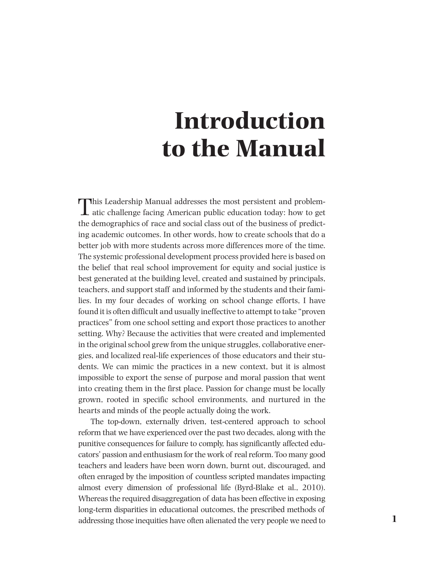# **Introduction to the Manual**

This Leadership Manual addresses the most persistent and problem- $\perp$  atic challenge facing American public education today: how to get the demographics of race and social class out of the business of predicting academic outcomes. In other words, how to create schools that do a better job with more students across more differences more of the time. The systemic professional development process provided here is based on the belief that real school improvement for equity and social justice is best generated at the building level, created and sustained by principals, teachers, and support staff and informed by the students and their families. In my four decades of working on school change efforts, I have found it is often difficult and usually ineffective to attempt to take "proven practices" from one school setting and export those practices to another setting. Why? Because the activities that were created and implemented in the original school grew from the unique struggles, collaborative energies, and localized real-life experiences of those educators and their students. We can mimic the practices in a new context, but it is almost impossible to export the sense of purpose and moral passion that went into creating them in the first place. Passion for change must be locally grown, rooted in specific school environments, and nurtured in the hearts and minds of the people actually doing the work.

The top-down, externally driven, test-centered approach to school reform that we have experienced over the past two decades, along with the punitive consequences for failure to comply, has significantly affected educators' passion and enthusiasm for the work of real reform. Too many good teachers and leaders have been worn down, burnt out, discouraged, and often enraged by the imposition of countless scripted mandates impacting almost every dimension of professional life (Byrd-Blake et al., 2010). Whereas the required disaggregation of data has been effective in exposing long-term disparities in educational outcomes, the prescribed methods of addressing those inequities have often alienated the very people we need to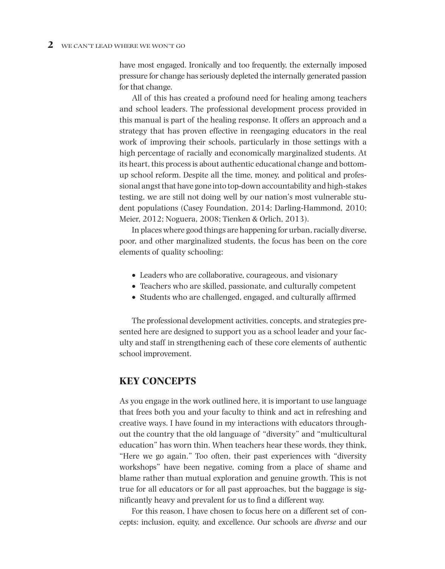have most engaged. Ironically and too frequently, the externally imposed pressure for change has seriously depleted the internally generated passion for that change.

All of this has created a profound need for healing among teachers and school leaders. The professional development process provided in this manual is part of the healing response. It offers an approach and a strategy that has proven effective in reengaging educators in the real work of improving their schools, particularly in those settings with a high percentage of racially and economically marginalized students. At its heart, this process is about authentic educational change and bottomup school reform. Despite all the time, money, and political and professional angst that have gone into top-down accountability and high-stakes testing, we are still not doing well by our nation's most vulnerable student populations (Casey Foundation, 2014; Darling-Hammond, 2010; Meier, 2012; Noguera, 2008; Tienken & Orlich, 2013).

In places where good things are happening for urban, racially diverse, poor, and other marginalized students, the focus has been on the core elements of quality schooling:

- Leaders who are collaborative, courageous, and visionary
- Teachers who are skilled, passionate, and culturally competent
- Students who are challenged, engaged, and culturally affirmed

The professional development activities, concepts, and strategies presented here are designed to support you as a school leader and your faculty and staff in strengthening each of these core elements of authentic school improvement.

## **KEY CONCEPTS**

As you engage in the work outlined here, it is important to use language that frees both you and your faculty to think and act in refreshing and creative ways. I have found in my interactions with educators throughout the country that the old language of "diversity" and "multicultural education" has worn thin. When teachers hear these words, they think, "Here we go again." Too often, their past experiences with "diversity workshops" have been negative, coming from a place of shame and blame rather than mutual exploration and genuine growth. This is not true for all educators or for all past approaches, but the baggage is significantly heavy and prevalent for us to find a different way.

For this reason, I have chosen to focus here on a different set of concepts: inclusion, equity, and excellence. Our schools are *diverse* and our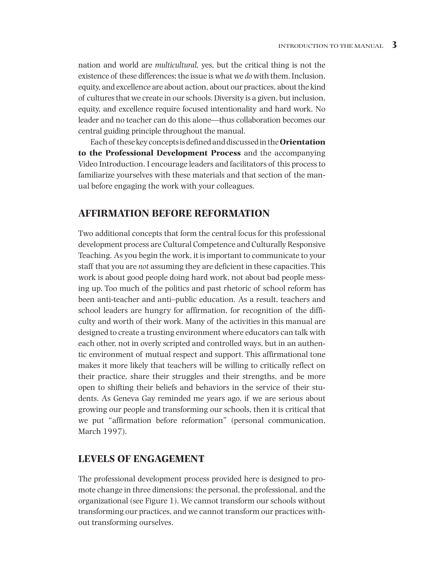nation and world are *multicultural,* yes, but the critical thing is not the existence of these differences; the issue is what we *do* with them. Inclusion, equity, and excellence are about action, about our practices, about the kind of cultures that we create in our schools. Diversity is a given, but inclusion, equity, and excellence require focused intentionality and hard work. No leader and no teacher can do this alone—thus collaboration becomes our central guiding principle throughout the manual.

Each of these key concepts is defined and discussed in the **Orientation to the Professional Development Process** and the accompanying Video Introduction. I encourage leaders and facilitators of this process to familiarize yourselves with these materials and that section of the manual before engaging the work with your colleagues.

# **AFFIRMATION BEFORE REFORMATION**

Two additional concepts that form the central focus for this professional development process are Cultural Competence and Culturally Responsive Teaching*.* As you begin the work, it is important to communicate to your staff that you are *not* assuming they are deficient in these capacities. This work is about good people doing hard work, not about bad people messing up. Too much of the politics and past rhetoric of school reform has been anti-teacher and anti–public education. As a result, teachers and school leaders are hungry for affirmation, for recognition of the difficulty and worth of their work. Many of the activities in this manual are designed to create a trusting environment where educators can talk with each other, not in overly scripted and controlled ways, but in an authentic environment of mutual respect and support. This affirmational tone makes it more likely that teachers will be willing to critically reflect on their practice, share their struggles and their strengths, and be more open to shifting their beliefs and behaviors in the service of their students. As Geneva Gay reminded me years ago, if we are serious about growing our people and transforming our schools, then it is critical that we put "affirmation before reformation" (personal communication, March 1997).

# **LEVELS OF ENGAGEMENT**

The professional development process provided here is designed to promote change in three dimensions: the personal, the professional, and the organizational (see Figure 1). We cannot transform our schools without transforming our practices, and we cannot transform our practices without transforming ourselves.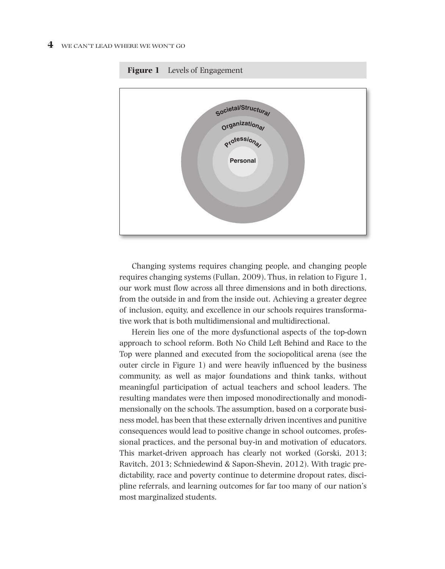

**Figure 1** Levels of Engagement

Changing systems requires changing people, and changing people requires changing systems (Fullan, 2009). Thus, in relation to Figure 1, our work must flow across all three dimensions and in both directions, from the outside in and from the inside out. Achieving a greater degree of inclusion, equity, and excellence in our schools requires transformative work that is both multidimensional and multidirectional.

Herein lies one of the more dysfunctional aspects of the top-down approach to school reform. Both No Child Left Behind and Race to the Top were planned and executed from the sociopolitical arena (see the outer circle in Figure 1) and were heavily influenced by the business community, as well as major foundations and think tanks, without meaningful participation of actual teachers and school leaders. The resulting mandates were then imposed monodirectionally and monodimensionally on the schools. The assumption, based on a corporate business model, has been that these externally driven incentives and punitive consequences would lead to positive change in school outcomes, professional practices, and the personal buy-in and motivation of educators. This market-driven approach has clearly not worked (Gorski, 2013; Ravitch, 2013; Schniedewind & Sapon-Shevin, 2012). With tragic predictability, race and poverty continue to determine dropout rates, discipline referrals, and learning outcomes for far too many of our nation's most marginalized students.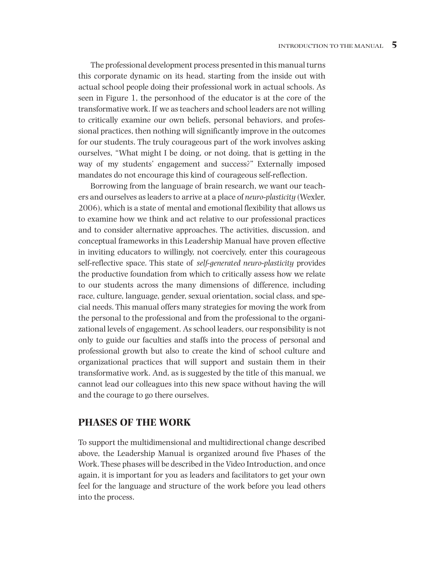The professional development process presented in this manual turns this corporate dynamic on its head, starting from the inside out with actual school people doing their professional work in actual schools. As seen in Figure 1, the personhood of the educator is at the core of the transformative work. If we as teachers and school leaders are not willing to critically examine our own beliefs, personal behaviors, and professional practices, then nothing will significantly improve in the outcomes for our students. The truly courageous part of the work involves asking ourselves, "What might I be doing, or not doing, that is getting in the way of my students' engagement and success?" Externally imposed mandates do not encourage this kind of courageous self-reflection.

Borrowing from the language of brain research, we want our teachers and ourselves as leaders to arrive at a place of *neuro-plasticity* (Wexler, 2006), which is a state of mental and emotional flexibility that allows us to examine how we think and act relative to our professional practices and to consider alternative approaches. The activities, discussion, and conceptual frameworks in this Leadership Manual have proven effective in inviting educators to willingly, not coercively, enter this courageous self-reflective space. This state of *self-generated neuro-plasticity* provides the productive foundation from which to critically assess how we relate to our students across the many dimensions of difference, including race, culture, language, gender, sexual orientation, social class, and special needs. This manual offers many strategies for moving the work from the personal to the professional and from the professional to the organizational levels of engagement. As school leaders, our responsibility is not only to guide our faculties and staffs into the process of personal and professional growth but also to create the kind of school culture and organizational practices that will support and sustain them in their transformative work. And, as is suggested by the title of this manual, we cannot lead our colleagues into this new space without having the will and the courage to go there ourselves.

## **PHASES OF THE WORK**

To support the multidimensional and multidirectional change described above, the Leadership Manual is organized around five Phases of the Work. These phases will be described in the Video Introduction, and once again, it is important for you as leaders and facilitators to get your own feel for the language and structure of the work before you lead others into the process.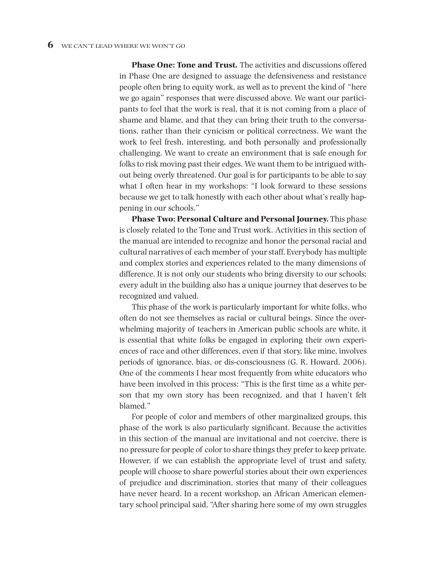**Phase One: Tone and Trust***.* The activities and discussions offered in Phase One are designed to assuage the defensiveness and resistance people often bring to equity work, as well as to prevent the kind of "here we go again" responses that were discussed above. We want our participants to feel that the work is real, that it is not coming from a place of shame and blame, and that they can bring their truth to the conversations, rather than their cynicism or political correctness. We want the work to feel fresh, interesting, and both personally and professionally challenging. We want to create an environment that is safe enough for folks to risk moving past their edges. We want them to be intrigued without being overly threatened. Our goal is for participants to be able to say what I often hear in my workshops: "I look forward to these sessions because we get to talk honestly with each other about what's really happening in our schools."

**Phase Two: Personal Culture and Personal Journey.** This phase is closely related to the Tone and Trust work. Activities in this section of the manual are intended to recognize and honor the personal racial and cultural narratives of each member of your staff. Everybody has multiple and complex stories and experiences related to the many dimensions of difference. It is not only our students who bring diversity to our schools; every adult in the building also has a unique journey that deserves to be recognized and valued.

This phase of the work is particularly important for white folks, who often do not see themselves as racial or cultural beings. Since the overwhelming majority of teachers in American public schools are white, it is essential that white folks be engaged in exploring their own experiences of race and other differences, even if that story, like mine, involves periods of ignorance, bias, or dis-consciousness (G. R. Howard, 2006). One of the comments I hear most frequently from white educators who have been involved in this process: "This is the first time as a white person that my own story has been recognized, and that I haven't felt blamed."

For people of color and members of other marginalized groups, this phase of the work is also particularly significant. Because the activities in this section of the manual are invitational and not coercive, there is no pressure for people of color to share things they prefer to keep private. However, if we can establish the appropriate level of trust and safety, people will choose to share powerful stories about their own experiences of prejudice and discrimination, stories that many of their colleagues have never heard. In a recent workshop, an African American elementary school principal said, "After sharing here some of my own struggles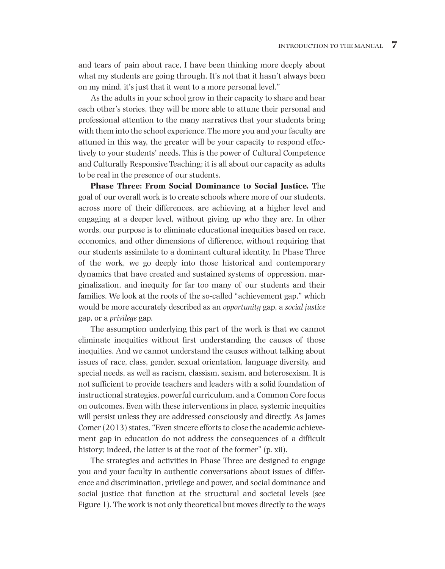and tears of pain about race, I have been thinking more deeply about what my students are going through. It's not that it hasn't always been on my mind, it's just that it went to a more personal level."

As the adults in your school grow in their capacity to share and hear each other's stories, they will be more able to attune their personal and professional attention to the many narratives that your students bring with them into the school experience. The more you and your faculty are attuned in this way, the greater will be your capacity to respond effectively to your students' needs. This is the power of Cultural Competence and Culturally Responsive Teaching; it is all about our capacity as adults to be real in the presence of our students.

**Phase Three: From Social Dominance to Social Justice***.* The goal of our overall work is to create schools where more of our students, across more of their differences, are achieving at a higher level and engaging at a deeper level, without giving up who they are. In other words, our purpose is to eliminate educational inequities based on race, economics, and other dimensions of difference, without requiring that our students assimilate to a dominant cultural identity. In Phase Three of the work, we go deeply into those historical and contemporary dynamics that have created and sustained systems of oppression, marginalization, and inequity for far too many of our students and their families. We look at the roots of the so-called "achievement gap," which would be more accurately described as an *opportunity* gap, a *social justice* gap, or a *privilege* gap.

The assumption underlying this part of the work is that we cannot eliminate inequities without first understanding the causes of those inequities. And we cannot understand the causes without talking about issues of race, class, gender, sexual orientation, language diversity, and special needs, as well as racism, classism, sexism, and heterosexism. It is not sufficient to provide teachers and leaders with a solid foundation of instructional strategies, powerful curriculum, and a Common Core focus on outcomes. Even with these interventions in place, systemic inequities will persist unless they are addressed consciously and directly. As James Comer (2013) states, "Even sincere efforts to close the academic achievement gap in education do not address the consequences of a difficult history; indeed, the latter is at the root of the former" (p. xii).

The strategies and activities in Phase Three are designed to engage you and your faculty in authentic conversations about issues of difference and discrimination, privilege and power, and social dominance and social justice that function at the structural and societal levels (see Figure 1). The work is not only theoretical but moves directly to the ways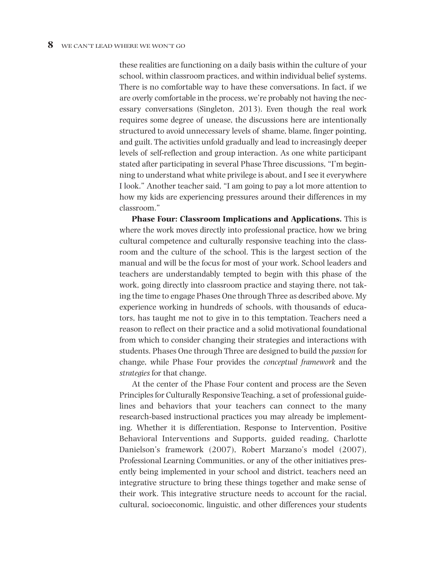these realities are functioning on a daily basis within the culture of your school, within classroom practices, and within individual belief systems. There is no comfortable way to have these conversations. In fact, if we are overly comfortable in the process, we're probably not having the necessary conversations (Singleton, 2013). Even though the real work requires some degree of unease, the discussions here are intentionally structured to avoid unnecessary levels of shame, blame, finger pointing, and guilt. The activities unfold gradually and lead to increasingly deeper levels of self-reflection and group interaction. As one white participant stated after participating in several Phase Three discussions, "I'm beginning to understand what white privilege is about, and I see it everywhere I look." Another teacher said, "I am going to pay a lot more attention to how my kids are experiencing pressures around their differences in my classroom."

**Phase Four: Classroom Implications and Applications.** This is where the work moves directly into professional practice, how we bring cultural competence and culturally responsive teaching into the classroom and the culture of the school. This is the largest section of the manual and will be the focus for most of your work. School leaders and teachers are understandably tempted to begin with this phase of the work, going directly into classroom practice and staying there, not taking the time to engage Phases One through Three as described above. My experience working in hundreds of schools, with thousands of educators, has taught me not to give in to this temptation. Teachers need a reason to reflect on their practice and a solid motivational foundational from which to consider changing their strategies and interactions with students. Phases One through Three are designed to build the *passion* for change, while Phase Four provides the *conceptual framework* and the *strategies* for that change.

At the center of the Phase Four content and process are the Seven Principles for Culturally Responsive Teaching, a set of professional guidelines and behaviors that your teachers can connect to the many research-based instructional practices you may already be implementing. Whether it is differentiation, Response to Intervention, Positive Behavioral Interventions and Supports, guided reading, Charlotte Danielson's framework (2007), Robert Marzano's model (2007), Professional Learning Communities, or any of the other initiatives presently being implemented in your school and district, teachers need an integrative structure to bring these things together and make sense of their work. This integrative structure needs to account for the racial, cultural, socioeconomic, linguistic, and other differences your students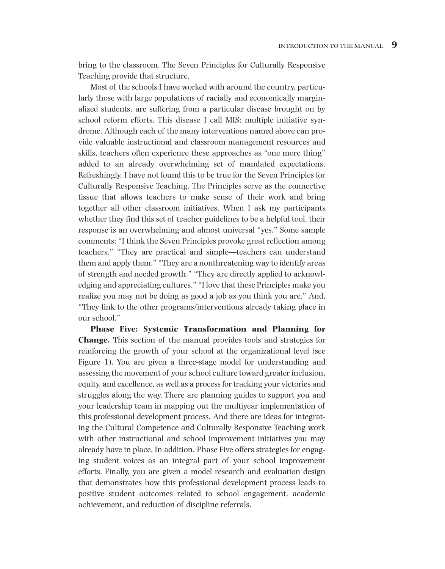bring to the classroom. The Seven Principles for Culturally Responsive Teaching provide that structure.

Most of the schools I have worked with around the country, particularly those with large populations of racially and economically marginalized students, are suffering from a particular disease brought on by school reform efforts. This disease I call MIS: multiple initiative syndrome. Although each of the many interventions named above can provide valuable instructional and classroom management resources and skills, teachers often experience these approaches as "one more thing" added to an already overwhelming set of mandated expectations. Refreshingly, I have not found this to be true for the Seven Principles for Culturally Responsive Teaching. The Principles serve as the connective tissue that allows teachers to make sense of their work and bring together all other classroom initiatives. When I ask my participants whether they find this set of teacher guidelines to be a helpful tool, their response is an overwhelming and almost universal "yes." Some sample comments: "I think the Seven Principles provoke great reflection among teachers." "They are practical and simple—teachers can understand them and apply them." "They are a nonthreatening way to identify areas of strength and needed growth." "They are directly applied to acknowledging and appreciating cultures." "I love that these Principles make you realize you may not be doing as good a job as you think you are." And, "They link to the other programs/interventions already taking place in our school."

**Phase Five: Systemic Transformation and Planning for Change.** This section of the manual provides tools and strategies for reinforcing the growth of your school at the organizational level (see Figure 1). You are given a three-stage model for understanding and assessing the movement of your school culture toward greater inclusion, equity, and excellence, as well as a process for tracking your victories and struggles along the way. There are planning guides to support you and your leadership team in mapping out the multiyear implementation of this professional development process. And there are ideas for integrating the Cultural Competence and Culturally Responsive Teaching work with other instructional and school improvement initiatives you may already have in place. In addition, Phase Five offers strategies for engaging student voices as an integral part of your school improvement efforts. Finally, you are given a model research and evaluation design that demonstrates how this professional development process leads to positive student outcomes related to school engagement, academic achievement, and reduction of discipline referrals.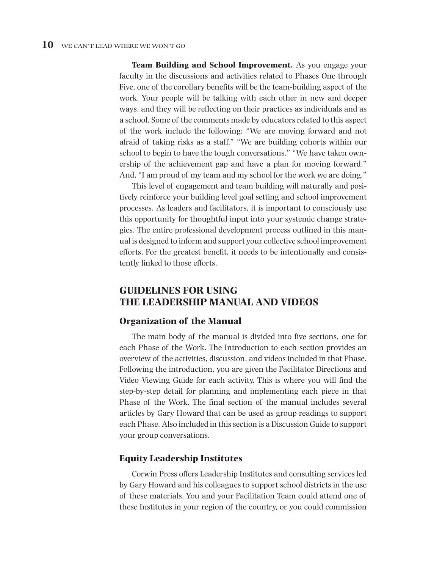**Team Building and School Improvement.** As you engage your faculty in the discussions and activities related to Phases One through Five, one of the corollary benefits will be the team-building aspect of the work. Your people will be talking with each other in new and deeper ways, and they will be reflecting on their practices as individuals and as a school. Some of the comments made by educators related to this aspect of the work include the following: "We are moving forward and not afraid of taking risks as a staff." "We are building cohorts within our school to begin to have the tough conversations." "We have taken ownership of the achievement gap and have a plan for moving forward." And, "I am proud of my team and my school for the work we are doing."

This level of engagement and team building will naturally and positively reinforce your building level goal setting and school improvement processes. As leaders and facilitators, it is important to consciously use this opportunity for thoughtful input into your systemic change strategies. The entire professional development process outlined in this manual is designed to inform and support your collective school improvement efforts. For the greatest benefit, it needs to be intentionally and consistently linked to those efforts.

# **GUIDELINES FOR USING THE LEADERSHIP MANUAL AND VIDEOS**

#### **Organization of the Manual**

The main body of the manual is divided into five sections, one for each Phase of the Work. The Introduction to each section provides an overview of the activities, discussion, and videos included in that Phase. Following the introduction, you are given the Facilitator Directions and Video Viewing Guide for each activity. This is where you will find the step-by-step detail for planning and implementing each piece in that Phase of the Work. The final section of the manual includes several articles by Gary Howard that can be used as group readings to support each Phase. Also included in this section is a Discussion Guide to support your group conversations.

#### **Equity Leadership Institutes**

Corwin Press offers Leadership Institutes and consulting services led by Gary Howard and his colleagues to support school districts in the use of these materials. You and your Facilitation Team could attend one of these Institutes in your region of the country, or you could commission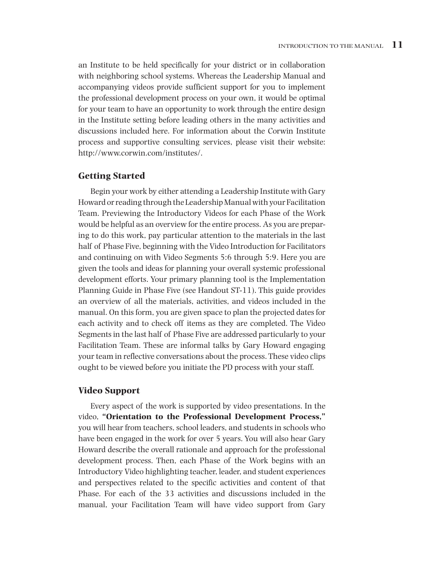an Institute to be held specifically for your district or in collaboration with neighboring school systems. Whereas the Leadership Manual and accompanying videos provide sufficient support for you to implement the professional development process on your own, it would be optimal for your team to have an opportunity to work through the entire design in the Institute setting before leading others in the many activities and discussions included here. For information about the Corwin Institute process and supportive consulting services, please visit their website: http://www.corwin.com/institutes/.

## **Getting Started**

Begin your work by either attending a Leadership Institute with Gary Howard or reading through the Leadership Manual with your Facilitation Team. Previewing the Introductory Videos for each Phase of the Work would be helpful as an overview for the entire process. As you are preparing to do this work, pay particular attention to the materials in the last half of Phase Five, beginning with the Video Introduction for Facilitators and continuing on with Video Segments 5:6 through 5:9. Here you are given the tools and ideas for planning your overall systemic professional development efforts. Your primary planning tool is the Implementation Planning Guide in Phase Five (see Handout ST-11). This guide provides an overview of all the materials, activities, and videos included in the manual. On this form, you are given space to plan the projected dates for each activity and to check off items as they are completed. The Video Segments in the last half of Phase Five are addressed particularly to your Facilitation Team. These are informal talks by Gary Howard engaging your team in reflective conversations about the process. These video clips ought to be viewed before you initiate the PD process with your staff.

#### **Video Support**

Every aspect of the work is supported by video presentations. In the video, **"Orientation to the Professional Development Process,"** you will hear from teachers, school leaders, and students in schools who have been engaged in the work for over 5 years. You will also hear Gary Howard describe the overall rationale and approach for the professional development process. Then, each Phase of the Work begins with an Introductory Video highlighting teacher, leader, and student experiences and perspectives related to the specific activities and content of that Phase. For each of the 33 activities and discussions included in the manual, your Facilitation Team will have video support from Gary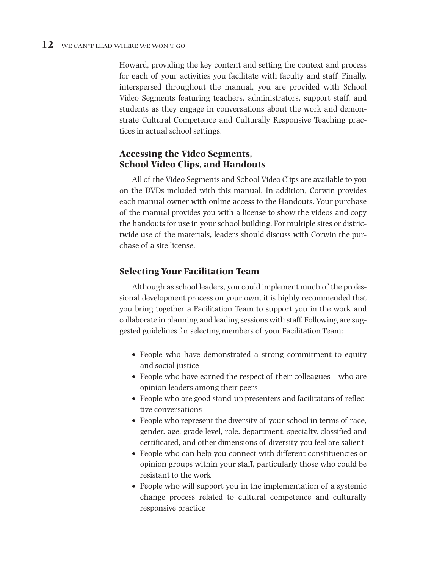Howard, providing the key content and setting the context and process for each of your activities you facilitate with faculty and staff. Finally, interspersed throughout the manual, you are provided with School Video Segments featuring teachers, administrators, support staff, and students as they engage in conversations about the work and demonstrate Cultural Competence and Culturally Responsive Teaching practices in actual school settings.

# **Accessing the Video Segments, School Video Clips, and Handouts**

All of the Video Segments and School Video Clips are available to you on the DVDs included with this manual. In addition, Corwin provides each manual owner with online access to the Handouts. Your purchase of the manual provides you with a license to show the videos and copy the handouts for use in your school building. For multiple sites or districtwide use of the materials, leaders should discuss with Corwin the purchase of a site license.

# **Selecting Your Facilitation Team**

Although as school leaders, you could implement much of the professional development process on your own, it is highly recommended that you bring together a Facilitation Team to support you in the work and collaborate in planning and leading sessions with staff. Following are suggested guidelines for selecting members of your Facilitation Team:

- People who have demonstrated a strong commitment to equity and social justice
- People who have earned the respect of their colleagues—who are opinion leaders among their peers
- People who are good stand-up presenters and facilitators of reflective conversations
- People who represent the diversity of your school in terms of race, gender, age, grade level, role, department, specialty, classified and certificated, and other dimensions of diversity you feel are salient
- People who can help you connect with different constituencies or opinion groups within your staff, particularly those who could be resistant to the work
- People who will support you in the implementation of a systemic change process related to cultural competence and culturally responsive practice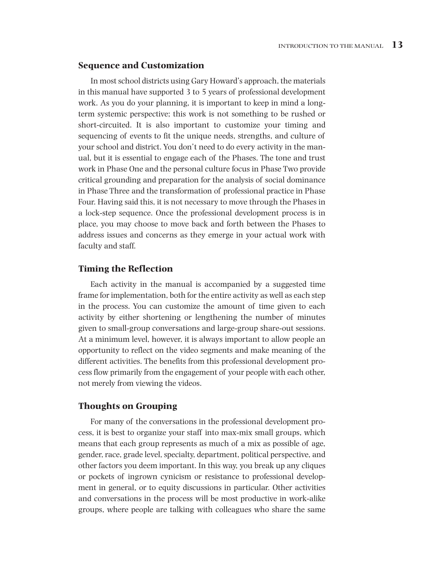### **Sequence and Customization**

In most school districts using Gary Howard's approach, the materials in this manual have supported 3 to 5 years of professional development work. As you do your planning, it is important to keep in mind a longterm systemic perspective; this work is not something to be rushed or short-circuited. It is also important to customize your timing and sequencing of events to fit the unique needs, strengths, and culture of your school and district. You don't need to do every activity in the manual, but it is essential to engage each of the Phases. The tone and trust work in Phase One and the personal culture focus in Phase Two provide critical grounding and preparation for the analysis of social dominance in Phase Three and the transformation of professional practice in Phase Four. Having said this, it is not necessary to move through the Phases in a lock-step sequence. Once the professional development process is in place, you may choose to move back and forth between the Phases to address issues and concerns as they emerge in your actual work with faculty and staff.

## **Timing the Reflection**

Each activity in the manual is accompanied by a suggested time frame for implementation, both for the entire activity as well as each step in the process. You can customize the amount of time given to each activity by either shortening or lengthening the number of minutes given to small-group conversations and large-group share-out sessions. At a minimum level, however, it is always important to allow people an opportunity to reflect on the video segments and make meaning of the different activities. The benefits from this professional development process flow primarily from the engagement of your people with each other, not merely from viewing the videos.

#### **Thoughts on Grouping**

For many of the conversations in the professional development process, it is best to organize your staff into max-mix small groups, which means that each group represents as much of a mix as possible of age, gender, race, grade level, specialty, department, political perspective, and other factors you deem important. In this way, you break up any cliques or pockets of ingrown cynicism or resistance to professional development in general, or to equity discussions in particular. Other activities and conversations in the process will be most productive in work-alike groups, where people are talking with colleagues who share the same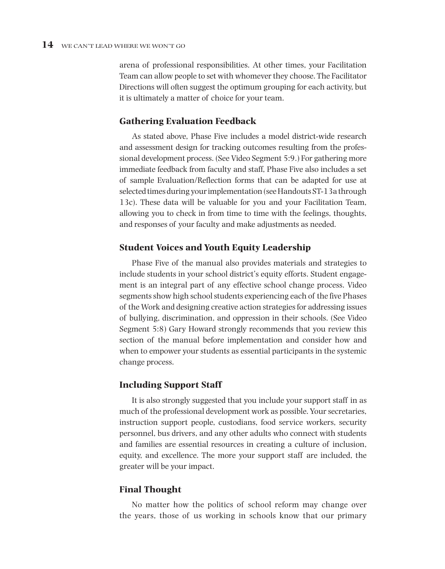arena of professional responsibilities. At other times, your Facilitation Team can allow people to set with whomever they choose. The Facilitator Directions will often suggest the optimum grouping for each activity, but it is ultimately a matter of choice for your team.

## **Gathering Evaluation Feedback**

As stated above, Phase Five includes a model district-wide research and assessment design for tracking outcomes resulting from the professional development process. (See Video Segment 5:9.) For gathering more immediate feedback from faculty and staff, Phase Five also includes a set of sample Evaluation/Reflection forms that can be adapted for use at selected times during your implementation (see Handouts ST-13a through 13c). These data will be valuable for you and your Facilitation Team, allowing you to check in from time to time with the feelings, thoughts, and responses of your faculty and make adjustments as needed.

## **Student Voices and Youth Equity Leadership**

Phase Five of the manual also provides materials and strategies to include students in your school district's equity efforts. Student engagement is an integral part of any effective school change process. Video segments show high school students experiencing each of the five Phases of the Work and designing creative action strategies for addressing issues of bullying, discrimination, and oppression in their schools. (See Video Segment 5:8) Gary Howard strongly recommends that you review this section of the manual before implementation and consider how and when to empower your students as essential participants in the systemic change process.

#### **Including Support Staff**

It is also strongly suggested that you include your support staff in as much of the professional development work as possible. Your secretaries, instruction support people, custodians, food service workers, security personnel, bus drivers, and any other adults who connect with students and families are essential resources in creating a culture of inclusion, equity, and excellence. The more your support staff are included, the greater will be your impact.

## **Final Thought**

No matter how the politics of school reform may change over the years, those of us working in schools know that our primary